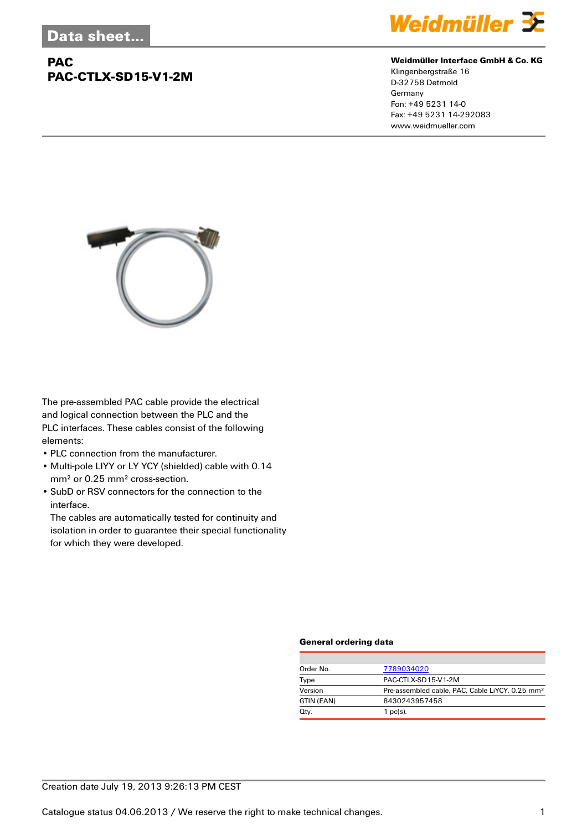## **PAC PAC-CTLX-SD15-V1-2M**



#### **Weidmüller Interface GmbH & Co. KG**

Klingenbergstraße 16 D-32758 Detmold Germany Fon: +49 5231 14-0 Fax: +49 5231 14-292083 www.weidmueller.com



The pre-assembled PAC cable provide the electrical and logical connection between the PLC and the PLC interfaces. These cables consist of the following elements:

- PLC connection from the manufacturer.
- Multi-pole LIYY or LY YCY (shielded) cable with 0.14 mm² or 0.25 mm² cross-section.
- SubD or RSV connectors for the connection to the interface.

The cables are automatically tested for continuity and isolation in order to guarantee their special functionality for which they were developed.

#### **General ordering data**

| Order No.  | 7789034020                                                  |  |  |
|------------|-------------------------------------------------------------|--|--|
| Type       | PAC-CTLX-SD15-V1-2M                                         |  |  |
| Version    | Pre-assembled cable, PAC, Cable LiYCY, 0.25 mm <sup>2</sup> |  |  |
| GTIN (EAN) | 8430243957458                                               |  |  |
| Qty.       | 1 $pc(s)$ .                                                 |  |  |